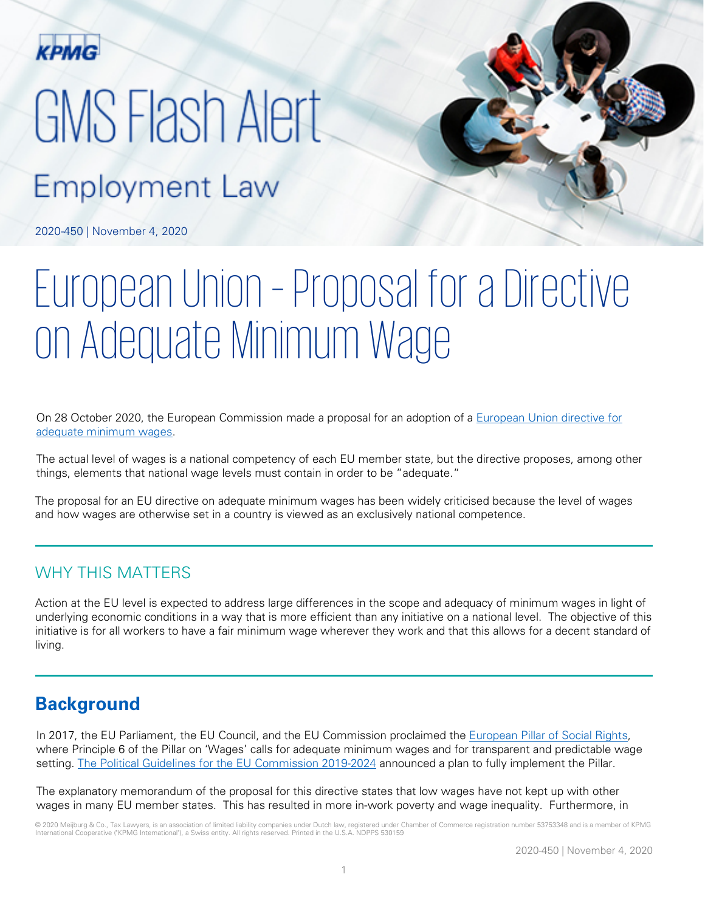

# GMS Flash Alert

# **Employment Law**

2020-450 | November 4, 2020

# European Union – Proposal for a Directive on Adequate Minimum Wage

On 28 October 2020, the European Commission made a proposal for an adoption of a European Union directive for [adequate minimum wages.](https://ec.europa.eu/social/BlobServlet?docId=23091&langId=en)

The actual level of wages is a national competency of each EU member state, but the directive proposes, among other things, elements that national wage levels must contain in order to be "adequate."

The proposal for an EU directive on adequate minimum wages has been widely criticised because the level of wages and how wages are otherwise set in a country is viewed as an exclusively national competence.

# WHY THIS MATTERS

Action at the EU level is expected to address large differences in the scope and adequacy of minimum wages in light of underlying economic conditions in a way that is more efficient than any initiative on a national level. The objective of this initiative is for all workers to have a fair minimum wage wherever they work and that this allows for a decent standard of living.

# **Background**

In 2017, the EU Parliament, the EU Council, and the EU Commission proclaimed the [European Pillar of Social Rights,](https://ec.europa.eu/commission/priorities/deeper-and-fairer-economic-and-monetary-union/european-pillar-social-rights/european-pillar-social-rights-20-principles_en) where Principle 6 of the Pillar on 'Wages' calls for adequate minimum wages and for transparent and predictable wage setting. [The Political Guidelines for the EU Commission 2019-2024](https://ec.europa.eu/commission/sites/beta-political/files/political-guidelines-next-commission_en.pdf) announced a plan to fully implement the Pillar.

The explanatory memorandum of the proposal for this directive states that low wages have not kept up with other wages in many EU member states. This has resulted in more in-work poverty and wage inequality. Furthermore, in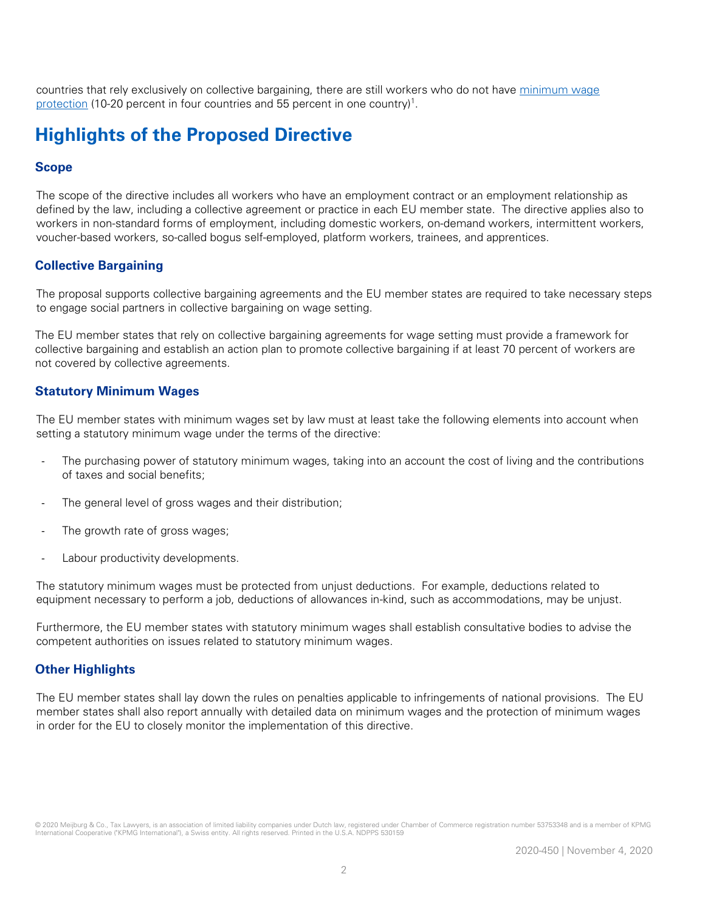countries that rely exclusively on collective bargaining, there are still workers who do not have minimum wage [protection](https://ec.europa.eu/social/BlobServlet?docId=23091&langId=en) (10-20 percent in four countries and 55 percent in one country)<sup>1</sup>.

# **Highlights of the Proposed Directive**

# **Scope**

The scope of the directive includes all workers who have an employment contract or an employment relationship as defined by the law, including a collective agreement or practice in each EU member state. The directive applies also to workers in non-standard forms of employment, including domestic workers, on-demand workers, intermittent workers, voucher-based workers, so-called bogus self-employed, platform workers, trainees, and apprentices.

## **Collective Bargaining**

The proposal supports collective bargaining agreements and the EU member states are required to take necessary steps to engage social partners in collective bargaining on wage setting.

The EU member states that rely on collective bargaining agreements for wage setting must provide a framework for collective bargaining and establish an action plan to promote collective bargaining if at least 70 percent of workers are not covered by collective agreements.

### **Statutory Minimum Wages**

The EU member states with minimum wages set by law must at least take the following elements into account when setting a statutory minimum wage under the terms of the directive:

- The purchasing power of statutory minimum wages, taking into an account the cost of living and the contributions of taxes and social benefits;
- The general level of gross wages and their distribution;
- The growth rate of gross wages;
- Labour productivity developments.

The statutory minimum wages must be protected from unjust deductions. For example, deductions related to equipment necessary to perform a job, deductions of allowances in-kind, such as accommodations, may be unjust.

Furthermore, the EU member states with statutory minimum wages shall establish consultative bodies to advise the competent authorities on issues related to statutory minimum wages.

### **Other Highlights**

The EU member states shall lay down the rules on penalties applicable to infringements of national provisions. The EU member states shall also report annually with detailed data on minimum wages and the protection of minimum wages in order for the EU to closely monitor the implementation of this directive.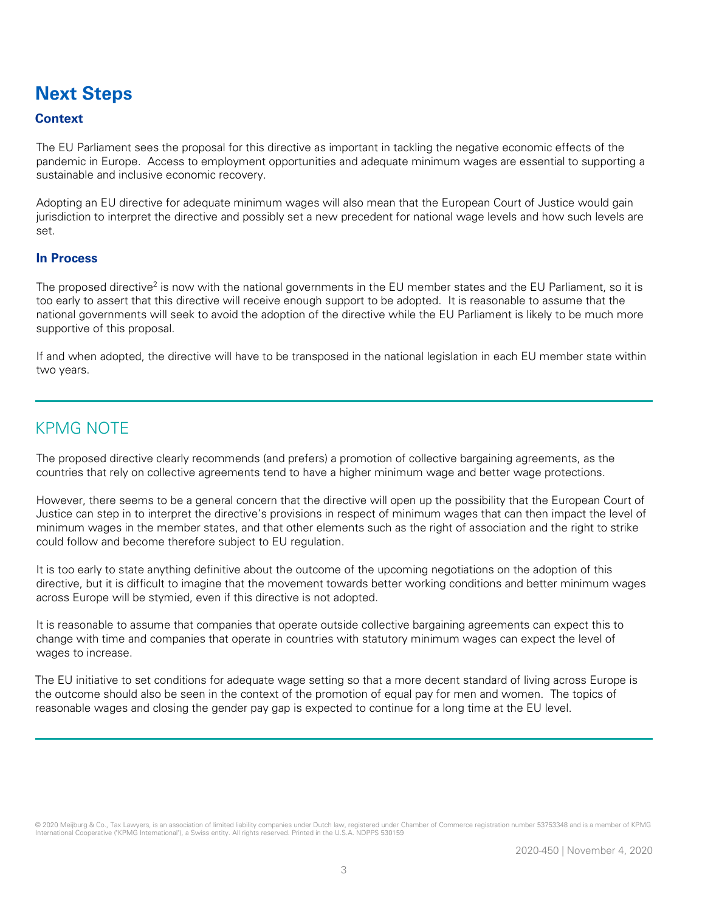# **Next Steps**

# **Context**

The EU Parliament sees the proposal for this directive as important in tackling the negative economic effects of the pandemic in Europe. Access to employment opportunities and adequate minimum wages are essential to supporting a sustainable and inclusive economic recovery.

Adopting an EU directive for adequate minimum wages will also mean that the European Court of Justice would gain jurisdiction to interpret the directive and possibly set a new precedent for national wage levels and how such levels are set.

#### **In Process**

The proposed directive<sup>2</sup> is now with the national governments in the EU member states and the EU Parliament, so it is too early to assert that this directive will receive enough support to be adopted. It is reasonable to assume that the national governments will seek to avoid the adoption of the directive while the EU Parliament is likely to be much more supportive of this proposal.

If and when adopted, the directive will have to be transposed in the national legislation in each EU member state within two years.

# KPMG NOTE

The proposed directive clearly recommends (and prefers) a promotion of collective bargaining agreements, as the countries that rely on collective agreements tend to have a higher minimum wage and better wage protections.

However, there seems to be a general concern that the directive will open up the possibility that the European Court of Justice can step in to interpret the directive's provisions in respect of minimum wages that can then impact the level of minimum wages in the member states, and that other elements such as the right of association and the right to strike could follow and become therefore subject to EU regulation.

It is too early to state anything definitive about the outcome of the upcoming negotiations on the adoption of this directive, but it is difficult to imagine that the movement towards better working conditions and better minimum wages across Europe will be stymied, even if this directive is not adopted.

It is reasonable to assume that companies that operate outside collective bargaining agreements can expect this to change with time and companies that operate in countries with statutory minimum wages can expect the level of wages to increase.

The EU initiative to set conditions for adequate wage setting so that a more decent standard of living across Europe is the outcome should also be seen in the context of the promotion of equal pay for men and women. The topics of reasonable wages and closing the gender pay gap is expected to continue for a long time at the EU level.

© 2020 Meijburg & Co., Tax Lawyers, is an association of limited liability companies under Dutch law, registered under Chamber of Commerce registration number 53753348 and is a member of KPMG International Cooperative ("KPMG International"), a Swiss entity. All rights reserved. Printed in the U.S.A. NDPPS 530159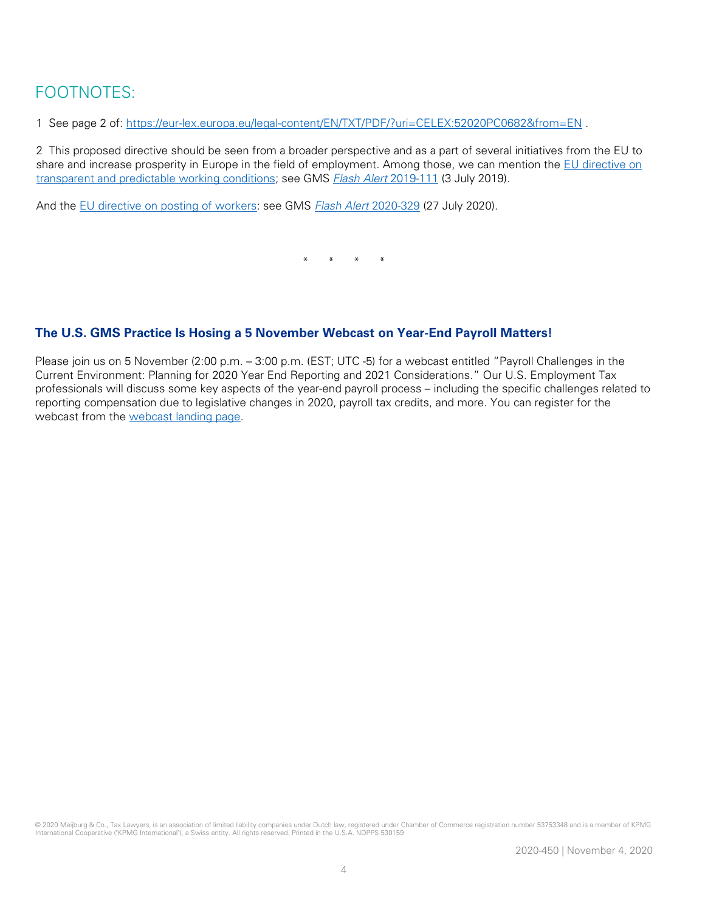# FOOTNOTES:

1 See page 2 of: <https://eur-lex.europa.eu/legal-content/EN/TXT/PDF/?uri=CELEX:52020PC0682&from=EN> .

2 This proposed directive should be seen from a broader perspective and as a part of several initiatives from the EU to share and increase prosperity in Europe in the field of employment. Among those, we can mention the [EU directive on](https://data.consilium.europa.eu/doc/document/PE-43-2019-INIT/en/pdf)  [transparent and predictable working conditions;](https://data.consilium.europa.eu/doc/document/PE-43-2019-INIT/en/pdf) see GMS [Flash Alert](https://home.kpmg/xx/en/home/insights/2019/07/flash-alert-2019-111.html) 2019-111 (3 July 2019).

And the [EU directive on posting of workers:](https://eur-lex.europa.eu/legal-content/en/ALL/?uri=CELEX:32018L0957) see GMS [Flash Alert](https://home.kpmg/xx/en/home/insights/2020/07/flash-alert-2020-329.html) 2020-329 (27 July 2020).

\* \* \* \*

# **The U.S. GMS Practice Is Hosing a 5 November Webcast on Year-End Payroll Matters!**

Please join us on 5 November (2:00 p.m. – 3:00 p.m. (EST; UTC -5) for a webcast entitled "Payroll Challenges in the Current Environment: Planning for 2020 Year End Reporting and 2021 Considerations." Our U.S. Employment Tax professionals will discuss some key aspects of the year-end payroll process – including the specific challenges related to reporting compensation due to legislative changes in 2020, payroll tax credits, and more. You can register for the webcast from the [webcast landing page.](https://tax.kpmg.us/events/webcasts/2020/global-mobility-employment-tax-year-end-payroll.html)

© 2020 Meijburg & Co., Tax Lawyers, is an association of limited liability companies under Dutch law, registered under Chamber of Commerce registration number 53753348 and is a member of KPMG International Cooperative ("KPMG International"), a Swiss entity. All rights reserved. Printed in the U.S.A. NDPPS 530159